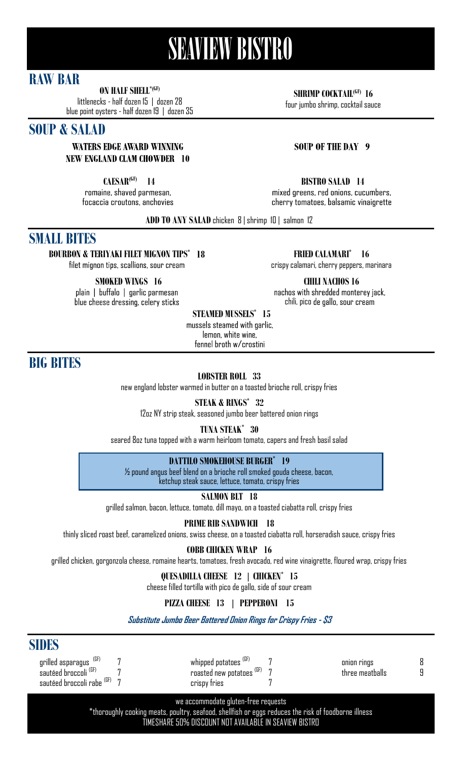# **SEAVIEW BISTRO**

## **RAW BAR**

**ON HALF SHELL\*(GF)**

littlenecks -half dozen 15 | dozen 28 blue point oysters -half dozen 19 | dozen 35

## **SOUP & SALAD**

#### **WATERS EDGE AWARD WINNING NEW ENGLAND CLAM CHOWDER 10**

**CAESAR<sup>(GF)</sup> 14**<br>**romaine**, shaved parmesan, focaccia croutons, anchovies **SHRIMP COCKTAIL(GF) 16**

four jumbo shrimp, cocktail sauce

### **SOUP OF THE DAY 9**

#### **14 BISTRO SALAD 14**

mixed greens, red onions, cucumbers, cherry tomatoes, balsamic vinaigrette

**ADD TO ANY SALAD** chicken 8 | shrimp 10 | salmon 12

## **SMALL BITES**

**BOURBON & TERIYAKI FILET MIGNON TIPS\* 18** filet mignon tips, scallions, sour cream

**SMOKED WINGS 16** 

plain | buffalo | garlic parmesan blue cheese dressing, celery sticks

**FRIED CALAMARI\* 16** crispy calamari, cherry peppers, marinara

**CHILI NACHOS 16**<br>machos with shredded monterey jack, chili, pico de gallo, sour cream

**STEAMED MUSSELS\* 15** 

mussels steamed with garlic, lemon, white wine, fennel brath w/crostini

**BIG BITES**

**LOBSTER ROLL 33**

new england lobster warmed in butter on a toasted brioche roll, crispy fries

**STEAK & RINGS\* 32**

12oz NY strip steak, seasoned jumbo beer battered onion rings

**TUNA STEAK\* 30**

seared 8oz tuna topped with a warm heirloom tomato, capers and fresh basil salad

### **DATTILO SMOKEHOUSE BURGER\* 19**

½ pound angus beef blend on a brioche roll smoked gouda cheese, bacon, ketchup steak sauce, lettuce, tomato, crispy fries

**SALMON BLT 18**

grilled salmon, bacon, lettuce, tomato, dill mayo, on a toasted ciabatta roll, crispy fries

**PRIME RIB SANDWICH 18**

thinly sliced roast beef, caramelized onions, swiss cheese, on a toasted ciabatta roll, horseradish sauce, crispy fries

**COBB CHICKEN WRAP 16**

grilled chicken, gorgonzola cheese, romaine hearts, tomatoes, fresh avocado, red wine vinaigrette, floured wrap, crispy fries

## **QUESADILLA CHEESE 12 | CHICKEN\* 15**

cheese filled tortilla with pico de gallo, side of sour cream

## **PIZZA CHEESE 13 | PEPPERONI 15**

**Substitute Jumbo Beer Battered Onion Rings for Crispy Fries - \$3**

## **SIDES**

grilled asparagus (GF) 7 sautéed broccoli (GF) 7 sautéed broccoli rabe <sup>(GF)</sup> 7

whipped potatoes (GF) 7 roasted new potatoes <sup>(GF)</sup> 7 crispy fries 7

onion rings 8 three meatballs 9

we accommodate gluten-free requests

\*thoroughly cooking meats, poultry, seafood, shellfish or eggs reduces the risk of foodborne illness TIMESHARE 50% DISCOUNT NOT AVAILABLE IN SEAVIEW BISTRO